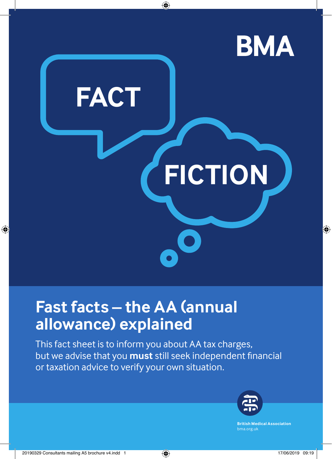

# **FICTION FACT**

 $\bigoplus$ 

# **Fast facts – the AA (annual allowance) explained**

This fact sheet is to inform you about AA tax charges, but we advise that you **must** still seek independent financial or taxation advice to verify your own situation.



**British Medical Association** bma.org.uk

⊕

♠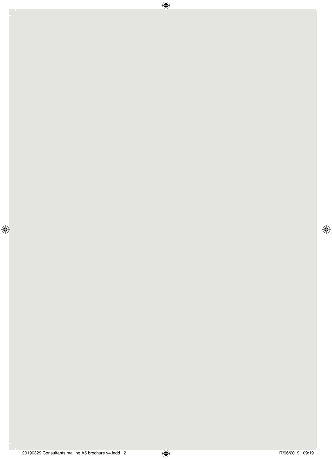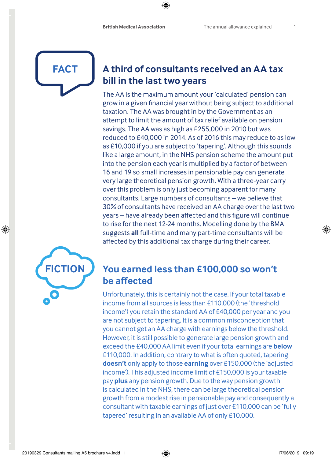**FACT**

## **A third of consultants received an AA tax bill in the last two years**

The AA is the maximum amount your 'calculated' pension can grow in a given financial year without being subject to additional taxation. The AA was brought in by the Government as an attempt to limit the amount of tax relief available on pension savings. The AA was as high as £255,000 in 2010 but was reduced to £40,000 in 2014. As of 2016 this may reduce to as low as £10,000 if you are subject to 'tapering'. Although this sounds like a large amount, in the NHS pension scheme the amount put into the pension each year is multiplied by a factor of between 16 and 19 so small increases in pensionable pay can generate very large theoretical pension growth. With a three-year carry over this problem is only just becoming apparent for many consultants. Large numbers of consultants – we believe that 30% of consultants have received an AA charge over the last two years – have already been affected and this figure will continue to rise for the next 12-24 months. Modelling done by the BMA suggests **all** full-time and many part-time consultants will be affected by this additional tax charge during their career.



⊕

### **You earned less than £100,000 so won't be affected**

Unfortunately, this is certainly not the case. If your total taxable income from all sources is less than £110,000 (the 'threshold income') you retain the standard AA of £40,000 per year and you are not subject to tapering. It is a common misconception that you cannot get an AA charge with earnings below the threshold. However, it is still possible to generate large pension growth and exceed the £40,000 AA limit even if your total earnings are **below** £110,000. In addition, contrary to what is often quoted, tapering **doesn't** only apply to those **earning** over £150,000 (the 'adjusted income'). This adjusted income limit of £150,000 is your taxable pay **plus** any pension growth. Due to the way pension growth is calculated in the NHS, there can be large theoretical pension growth from a modest rise in pensionable pay and consequently a consultant with taxable earnings of just over £110,000 can be 'fully tapered' resulting in an available AA of only £10,000.

20190329 Consultants mailing A5 brochure v4.indd 1 17/06/2019 09:19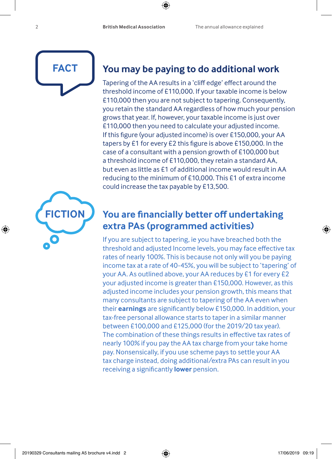**FACT**

### **You may be paying to do additional work**

Tapering of the AA results in a 'cliff edge' effect around the threshold income of £110,000. If your taxable income is below £110,000 then you are not subject to tapering. Consequently, you retain the standard AA regardless of how much your pension grows that year. If, however, your taxable income is just over £110,000 then you need to calculate your adjusted income. If this figure (your adjusted income) is over £150,000, your AA tapers by £1 for every £2 this figure is above £150,000. In the case of a consultant with a pension growth of £100,000 but a threshold income of £110,000, they retain a standard AA, but even as little as £1 of additional income would result in AA reducing to the minimum of £10,000. This £1 of extra income could increase the tax payable by £13,500.

### **You are financially better off undertaking extra PAs (programmed activities)**

If you are subject to tapering, ie you have breached both the threshold and adjusted Income levels, you may face effective tax rates of nearly 100%. This is because not only will you be paying income tax at a rate of 40-45%, you will be subject to 'tapering' of your AA. As outlined above, your AA reduces by £1 for every £2 your adjusted income is greater than £150,000. However, as this adjusted income includes your pension growth, this means that many consultants are subject to tapering of the AA even when their **earnings** are significantly below £150,000. In addition, your tax-free personal allowance starts to taper in a similar manner between £100,000 and £125,000 (for the 2019/20 tax year). The combination of these things results in effective tax rates of nearly 100% if you pay the AA tax charge from your take home pay. Nonsensically, if you use scheme pays to settle your AA tax charge instead, doing additional/extra PAs can result in you receiving a significantly **lower** pension.



⊕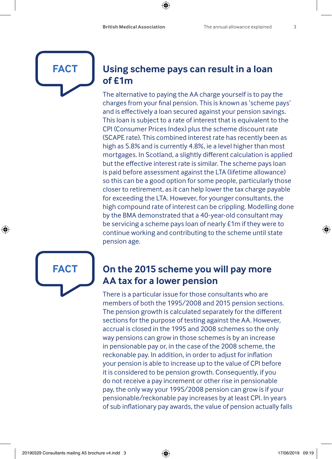**FACT**

### **Using scheme pays can result in a loan of £1m**

The alternative to paying the AA charge yourself is to pay the charges from your final pension. This is known as 'scheme pays' and is effectively a loan secured against your pension savings. This loan is subject to a rate of interest that is equivalent to the CPI (Consumer Prices Index) plus the scheme discount rate (SCAPE rate). This combined interest rate has recently been as high as 5.8% and is currently 4.8%, ie a level higher than most mortgages. In Scotland, a slightly different calculation is applied but the effective interest rate is similar. The scheme pays loan is paid before assessment against the LTA (lifetime allowance) so this can be a good option for some people, particularly those closer to retirement, as it can help lower the tax charge payable for exceeding the LTA. However, for younger consultants, the high compound rate of interest can be crippling. Modelling done by the BMA demonstrated that a 40-year-old consultant may be servicing a scheme pays loan of nearly £1m if they were to continue working and contributing to the scheme until state pension age.

**FACT**

⊕

### **On the 2015 scheme you will pay more AA tax for a lower pension**

There is a particular issue for those consultants who are members of both the 1995/2008 and 2015 pension sections. The pension growth is calculated separately for the different sections for the purpose of testing against the AA. However, accrual is closed in the 1995 and 2008 schemes so the only way pensions can grow in those schemes is by an increase in pensionable pay or, in the case of the 2008 scheme, the reckonable pay. In addition, in order to adjust for inflation your pension is able to increase up to the value of CPI before it is considered to be pension growth. Consequently, if you do not receive a pay increment or other rise in pensionable pay, the only way your 1995/2008 pension can grow is if your pensionable/reckonable pay increases by at least CPI. In years of sub inflationary pay awards, the value of pension actually falls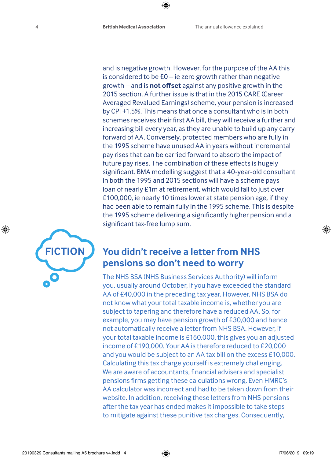and is negative growth. However, for the purpose of the AA this is considered to be £0 – ie zero growth rather than negative growth – and is **not offset** against any positive growth in the 2015 section. A further issue is that in the 2015 CARE (Career Averaged Revalued Earnings) scheme, your pension is increased by CPI +1.5%. This means that once a consultant who is in both schemes receives their first AA bill, they will receive a further and increasing bill every year, as they are unable to build up any carry forward of AA. Conversely, protected members who are fully in the 1995 scheme have unused AA in years without incremental pay rises that can be carried forward to absorb the impact of future pay rises. The combination of these effects is hugely significant. BMA modelling suggest that a 40-year-old consultant in both the 1995 and 2015 sections will have a scheme pays loan of nearly £1m at retirement, which would fall to just over £100,000, ie nearly 10 times lower at state pension age, if they had been able to remain fully in the 1995 scheme. This is despite the 1995 scheme delivering a significantly higher pension and a significant tax-free lump sum.



⊕

### **You didn't receive a letter from NHS pensions so don't need to worry**

The NHS BSA (NHS Business Services Authority) will inform you, usually around October, if you have exceeded the standard AA of £40,000 in the preceding tax year. However, NHS BSA do not know what your total taxable income is, whether you are subject to tapering and therefore have a reduced AA. So, for example, you may have pension growth of £30,000 and hence not automatically receive a letter from NHS BSA. However, if your total taxable income is £160,000, this gives you an adjusted income of £190,000. Your AA is therefore reduced to £20,000 and you would be subject to an AA tax bill on the excess £10,000. Calculating this tax charge yourself is extremely challenging. We are aware of accountants, financial advisers and specialist pensions firms getting these calculations wrong. Even HMRC's AA calculator was incorrect and had to be taken down from their website. In addition, receiving these letters from NHS pensions after the tax year has ended makes it impossible to take steps to mitigate against these punitive tax charges. Consequently,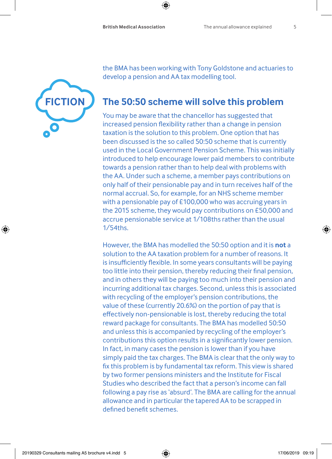**FICTION**

⊕

the BMA has been working with Tony Goldstone and actuaries to develop a pension and AA tax modelling tool.

### **The 50:50 scheme will solve this problem**

You may be aware that the chancellor has suggested that increased pension flexibility rather than a change in pension taxation is the solution to this problem. One option that has been discussed is the so called 50:50 scheme that is currently used in the Local Government Pension Scheme. This was initially introduced to help encourage lower paid members to contribute towards a pension rather than to help deal with problems with the AA. Under such a scheme, a member pays contributions on only half of their pensionable pay and in turn receives half of the normal accrual. So, for example, for an NHS scheme member with a pensionable pay of £100,000 who was accruing years in the 2015 scheme, they would pay contributions on £50,000 and accrue pensionable service at 1/108ths rather than the usual 1/54ths.

However, the BMA has modelled the 50:50 option and it is **not** a solution to the AA taxation problem for a number of reasons. It is insufficiently flexible. In some years consultants will be paying too little into their pension, thereby reducing their final pension, and in others they will be paying too much into their pension and incurring additional tax charges. Second, unless this is associated with recycling of the employer's pension contributions, the value of these (currently 20.6%) on the portion of pay that is effectively non-pensionable is lost, thereby reducing the total reward package for consultants. The BMA has modelled 50:50 and unless this is accompanied by recycling of the employer's contributions this option results in a significantly lower pension. In fact, in many cases the pension is lower than if you have simply paid the tax charges. The BMA is clear that the only way to fix this problem is by fundamental tax reform. This view is shared by two former pensions ministers and the Institute for Fiscal Studies who described the fact that a person's income can fall following a pay rise as 'absurd'. The BMA are calling for the annual allowance and in particular the tapered AA to be scrapped in defined benefit schemes.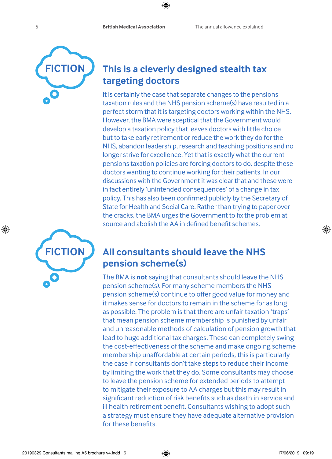

### **This is a cleverly designed stealth tax targeting doctors**

⊕

It is certainly the case that separate changes to the pensions taxation rules and the NHS pension scheme(s) have resulted in a perfect storm that it is targeting doctors working within the NHS. However, the BMA were sceptical that the Government would develop a taxation policy that leaves doctors with little choice but to take early retirement or reduce the work they do for the NHS, abandon leadership, research and teaching positions and no longer strive for excellence. Yet that is exactly what the current pensions taxation policies are forcing doctors to do, despite these doctors wanting to continue working for their patients. In our discussions with the Government it was clear that and these were in fact entirely 'unintended consequences' of a change in tax policy. This has also been confirmed publicly by the Secretary of State for Health and Social Care. Rather than trying to paper over the cracks, the BMA urges the Government to fix the problem at source and abolish the AA in defined benefit schemes.



⊕

### **All consultants should leave the NHS pension scheme(s)**

The BMA is **not** saying that consultants should leave the NHS pension scheme(s). For many scheme members the NHS pension scheme(s) continue to offer good value for money and it makes sense for doctors to remain in the scheme for as long as possible. The problem is that there are unfair taxation 'traps' that mean pension scheme membership is punished by unfair and unreasonable methods of calculation of pension growth that lead to huge additional tax charges. These can completely swing the cost-effectiveness of the scheme and make ongoing scheme membership unaffordable at certain periods, this is particularly the case if consultants don't take steps to reduce their income by limiting the work that they do. Some consultants may choose to leave the pension scheme for extended periods to attempt to mitigate their exposure to AA charges but this may result in significant reduction of risk benefits such as death in service and ill health retirement benefit. Consultants wishing to adopt such a strategy must ensure they have adequate alternative provision for these benefits.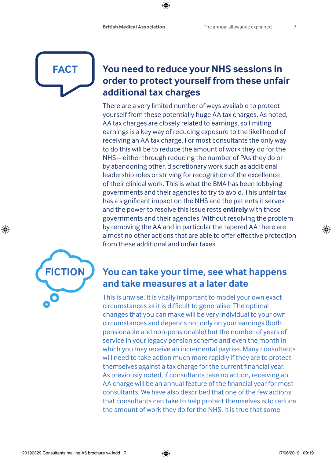**FACT**

### **You need to reduce your NHS sessions in order to protect yourself from these unfair additional tax charges**

There are a very limited number of ways available to protect yourself from these potentially huge AA tax charges. As noted, AA tax charges are closely related to earnings, so limiting earnings is a key way of reducing exposure to the likelihood of receiving an AA tax charge. For most consultants the only way to do this will be to reduce the amount of work they do for the NHS – either through reducing the number of PAs they do or by abandoning other, discretionary work such as additional leadership roles or striving for recognition of the excellence of their clinical work. This is what the BMA has been lobbying governments and their agencies to try to avoid. This unfair tax has a significant impact on the NHS and the patients it serves and the power to resolve this issue rests **entirely** with those governments and their agencies. Without resolving the problem by removing the AA and in particular the tapered AA there are almost no other actions that are able to offer effective protection from these additional and unfair taxes.



⊕

### **You can take your time, see what happens and take measures at a later date**

This is unwise. It is vitally important to model your own exact circumstances as it is difficult to generalise. The optimal changes that you can make will be very individual to your own circumstances and depends not only on your earnings (both pensionable and non-pensionable) but the number of years of service in your legacy pension scheme and even the month in which you may receive an incremental payrise. Many consultants will need to take action much more rapidly if they are to protect themselves against a tax charge for the current financial year. As previously noted, if consultants take no action, receiving an AA charge will be an annual feature of the financial year for most consultants. We have also described that one of the few actions that consultants can take to help protect themselves is to reduce the amount of work they do for the NHS. It is true that some

20190329 Consultants mailing A5 brochure v4.indd 7 17/06/2019 09:19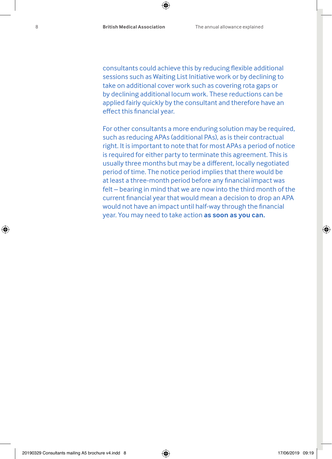$\bigcirc$ 

consultants could achieve this by reducing flexible additional sessions such as Waiting List Initiative work or by declining to take on additional cover work such as covering rota gaps or by declining additional locum work. These reductions can be applied fairly quickly by the consultant and therefore have an effect this financial year.

For other consultants a more enduring solution may be required, such as reducing APAs (additional PAs), as is their contractual right. It is important to note that for most APAs a period of notice is required for either party to terminate this agreement. This is usually three months but may be a different, locally negotiated period of time. The notice period implies that there would be at least a three-month period before any financial impact was felt – bearing in mind that we are now into the third month of the current financial year that would mean a decision to drop an APA would not have an impact until half-way through the financial year. You may need to take action **as soon as you can.**

⊕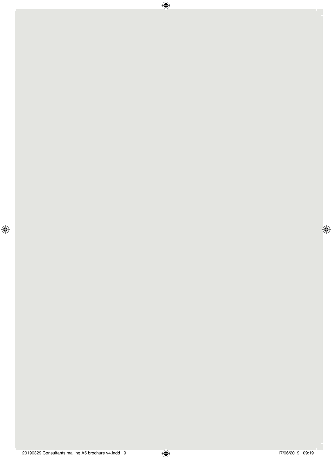